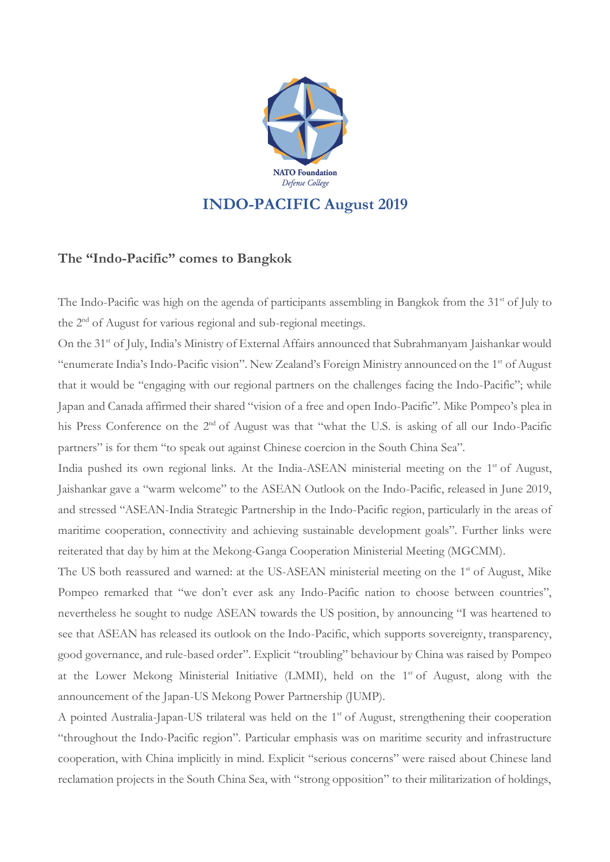

## **The "Indo-Pacific" comes to Bangkok**

The Indo-Pacific was high on the agenda of participants assembling in Bangkok from the 31<sup>st</sup> of July to the 2<sup>nd</sup> of August for various regional and sub-regional meetings.

On the 31<sup>st</sup> of July, India's Ministry of External Affairs announced that Subrahmanyam Jaishankar would "enumerate India's Indo-Pacific vision". New Zealand's Foreign Ministry announced on the 1<sup>st</sup> of August that it would be "engaging with our regional partners on the challenges facing the Indo-Pacific"; while Japan and Canada affirmed their shared "vision of a free and open Indo-Pacific". Mike Pompeo's plea in his Press Conference on the 2<sup>nd</sup> of August was that "what the U.S. is asking of all our Indo-Pacific partners" is for them "to speak out against Chinese coercion in the South China Sea".

India pushed its own regional links. At the India-ASEAN ministerial meeting on the 1<sup>st</sup> of August, Jaishankar gave a "warm welcome" to the ASEAN Outlook on the Indo-Pacific, released in June 2019, and stressed "ASEAN-India Strategic Partnership in the Indo-Pacific region, particularly in the areas of maritime cooperation, connectivity and achieving sustainable development goals". Further links were reiterated that day by him at the Mekong-Ganga Cooperation Ministerial Meeting (MGCMM).

The US both reassured and warned: at the US-ASEAN ministerial meeting on the 1<sup>st</sup> of August, Mike Pompeo remarked that "we don't ever ask any Indo-Pacific nation to choose between countries", nevertheless he sought to nudge ASEAN towards the US position, by announcing "I was heartened to see that ASEAN has released its outlook on the Indo-Pacific, which supports sovereignty, transparency, good governance, and rule-based order". Explicit "troubling" behaviour by China was raised by Pompeo at the Lower Mekong Ministerial Initiative (LMMI), held on the 1<sup>st</sup> of August, along with the announcement of the Japan-US Mekong Power Partnership (JUMP).

A pointed Australia-Japan-US trilateral was held on the 1<sup>st</sup> of August, strengthening their cooperation "throughout the Indo-Pacific region". Particular emphasis was on maritime security and infrastructure cooperation, with China implicitly in mind. Explicit "serious concerns" were raised about Chinese land reclamation projects in the South China Sea, with "strong opposition" to their militarization of holdings,